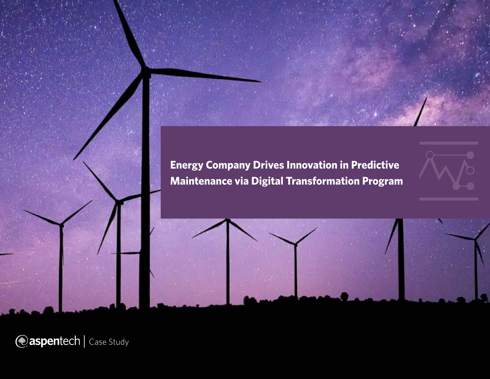**Energy Company Drives Innovation in Predictive Maintenance via Digital Transformation Program**





*Caspentech* | Case Study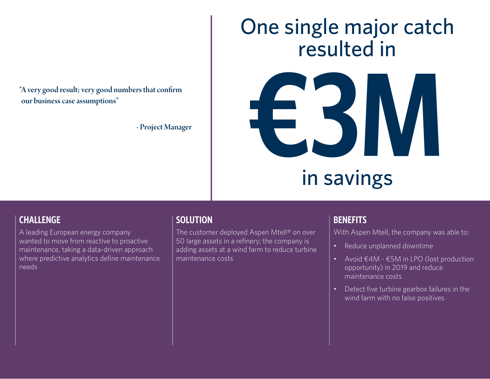our business case assumptions"

- Project Manager

## One single major catch resulted in



# in savings

#### **CHALLENGE**

A leading European energy company wanted to move from reactive to proactive maintenance, taking a data-driven approach where predictive analytics define maintenance needs

#### **SOLUTION**

The customer deployed Aspen Mtell® on over 50 large assets in a refinery; the company is adding assets at a wind farm to reduce turbine maintenance costs

#### **BENEFITS**

With Aspen Mtell, the company was able to:

- Reduce unplanned downtime
- Avoid €4M €5M in LPO (lost production opportunity) in 2019 and reduce maintenance costs
- Detect five turbine gearbox failures in the wind farm with no false positives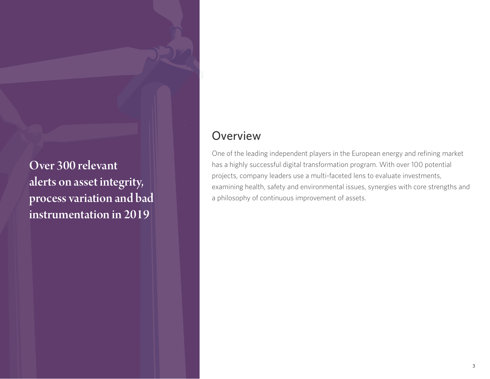Over 300 relevant alerts on asset integrity, process variation and bad instrumentation in 2019

### **Overview**

One of the leading independent players in the European energy and refining market has a highly successful digital transformation program. With over 100 potential projects, company leaders use a multi-faceted lens to evaluate investments, examining health, safety and environmental issues, synergies with core strengths and a philosophy of continuous improvement of assets.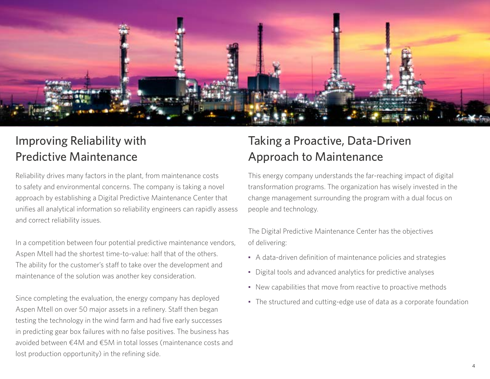

## Improving Reliability with Predictive Maintenance

Reliability drives many factors in the plant, from maintenance costs to safety and environmental concerns. The company is taking a novel approach by establishing a Digital Predictive Maintenance Center that unifies all analytical information so reliability engineers can rapidly assess and correct reliability issues.

In a competition between four potential predictive maintenance vendors, Aspen Mtell had the shortest time-to-value: half that of the others. The ability for the customer's staff to take over the development and maintenance of the solution was another key consideration.

Since completing the evaluation, the energy company has deployed Aspen Mtell on over 50 major assets in a refinery. Staff then began testing the technology in the wind farm and had five early successes in predicting gear box failures with no false positives. The business has avoided between €4M and €5M in total losses (maintenance costs and lost production opportunity) in the refining side.

## Taking a Proactive, Data-Driven Approach to Maintenance

This energy company understands the far-reaching impact of digital transformation programs. The organization has wisely invested in the change management surrounding the program with a dual focus on people and technology.

The Digital Predictive Maintenance Center has the objectives of delivering:

- A data-driven definition of maintenance policies and strategies
- Digital tools and advanced analytics for predictive analyses
- New capabilities that move from reactive to proactive methods
- The structured and cutting-edge use of data as a corporate foundation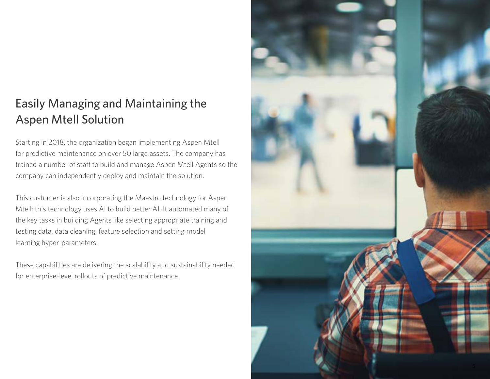## Easily Managing and Maintaining the Aspen Mtell Solution

Starting in 2018, the organization began implementing Aspen Mtell for predictive maintenance on over 50 large assets. The company has trained a number of staff to build and manage Aspen Mtell Agents so the company can independently deploy and maintain the solution.

This customer is also incorporating the Maestro technology for Aspen Mtell; this technology uses AI to build better AI. It automated many of the key tasks in building Agents like selecting appropriate training and testing data, data cleaning, feature selection and setting model learning hyper-parameters.

These capabilities are delivering the scalability and sustainability needed for enterprise-level rollouts of predictive maintenance.